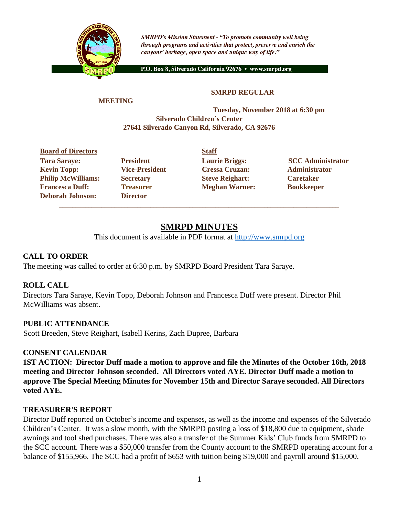

**SMRPD's Mission Statement - "To promote community well being** through programs and activities that protect, preserve and enrich the canyons' heritage, open space and unique way of life."

P.O. Box 8, Silverado California 92676 · www.smrpd.org

#### **SMRPD REGULAR**

#### **MEETING**

#### **Tuesday, November 2018 at 6:30 pm Silverado Children's Center 27641 Silverado Canyon Rd, Silverado, CA 92676**

# **Board of Directors Staff** Tara Saraye: **President Laurie Briggs:** SCC Administrator **Kevin Topp: Vice-President Cressa Cruzan: Administrator**

**Deborah Johnson: Director**

**Philip McWilliams: Secretary Steve Reighart: Caretaker Francesca Duff: Treasurer Meghan Warner: Bookkeeper** 

# **SMRPD MINUTES**

\_\_\_\_\_\_\_\_\_\_\_\_\_\_\_\_\_\_\_\_\_\_\_\_\_\_\_\_\_\_\_\_\_\_\_\_\_\_\_\_\_\_\_\_\_\_\_\_\_\_\_\_\_\_\_\_\_\_\_\_\_\_\_\_\_\_\_\_\_\_\_\_\_\_\_\_\_\_\_\_\_\_\_\_\_\_

This document is available in PDF format at [http://www.smrpd.org](http://www.smrpd.org/)

#### **CALL TO ORDER**

The meeting was called to order at 6:30 p.m. by SMRPD Board President Tara Saraye.

#### **ROLL CALL**

Directors Tara Saraye, Kevin Topp, Deborah Johnson and Francesca Duff were present. Director Phil McWilliams was absent.

#### **PUBLIC ATTENDANCE**

Scott Breeden, Steve Reighart, Isabell Kerins, Zach Dupree, Barbara

#### **CONSENT CALENDAR**

**1ST ACTION: Director Duff made a motion to approve and file the Minutes of the October 16th, 2018 meeting and Director Johnson seconded. All Directors voted AYE. Director Duff made a motion to approve The Special Meeting Minutes for November 15th and Director Saraye seconded. All Directors voted AYE.**

#### **TREASURER'S REPORT**

Director Duff reported on October's income and expenses, as well as the income and expenses of the Silverado Children's Center. It was a slow month, with the SMRPD posting a loss of \$18,800 due to equipment, shade awnings and tool shed purchases. There was also a transfer of the Summer Kids' Club funds from SMRPD to the SCC account. There was a \$50,000 transfer from the County account to the SMRPD operating account for a balance of \$155,966. The SCC had a profit of \$653 with tuition being \$19,000 and payroll around \$15,000.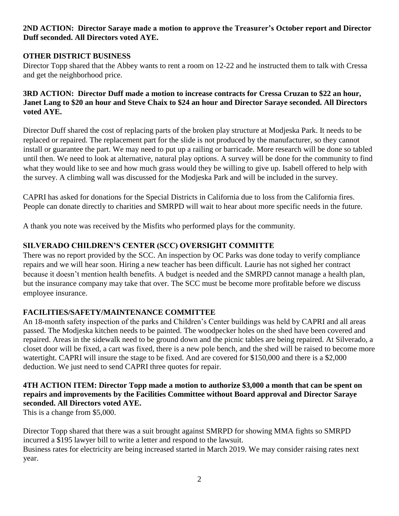### **2ND ACTION: Director Saraye made a motion to approve the Treasurer's October report and Director Duff seconded. All Directors voted AYE.**

## **OTHER DISTRICT BUSINESS**

Director Topp shared that the Abbey wants to rent a room on 12-22 and he instructed them to talk with Cressa and get the neighborhood price.

#### **3RD ACTION: Director Duff made a motion to increase contracts for Cressa Cruzan to \$22 an hour, Janet Lang to \$20 an hour and Steve Chaix to \$24 an hour and Director Saraye seconded. All Directors voted AYE.**

Director Duff shared the cost of replacing parts of the broken play structure at Modjeska Park. It needs to be replaced or repaired. The replacement part for the slide is not produced by the manufacturer, so they cannot install or guarantee the part. We may need to put up a railing or barricade. More research will be done so tabled until then. We need to look at alternative, natural play options. A survey will be done for the community to find what they would like to see and how much grass would they be willing to give up. Isabell offered to help with the survey. A climbing wall was discussed for the Modjeska Park and will be included in the survey.

CAPRI has asked for donations for the Special Districts in California due to loss from the California fires. People can donate directly to charities and SMRPD will wait to hear about more specific needs in the future.

A thank you note was received by the Misfits who performed plays for the community.

# **SILVERADO CHILDREN'S CENTER (SCC) OVERSIGHT COMMITTE**

There was no report provided by the SCC. An inspection by OC Parks was done today to verify compliance repairs and we will hear soon. Hiring a new teacher has been difficult. Laurie has not sighed her contract because it doesn't mention health benefits. A budget is needed and the SMRPD cannot manage a health plan, but the insurance company may take that over. The SCC must be become more profitable before we discuss employee insurance.

# **FACILITIES/SAFETY/MAINTENANCE COMMITTEE**

An 18-month safety inspection of the parks and Children's Center buildings was held by CAPRI and all areas passed. The Modjeska kitchen needs to be painted. The woodpecker holes on the shed have been covered and repaired. Areas in the sidewalk need to be ground down and the picnic tables are being repaired. At Silverado, a closet door will be fixed, a cart was fixed, there is a new pole bench, and the shed will be raised to become more watertight. CAPRI will insure the stage to be fixed. And are covered for \$150,000 and there is a \$2,000 deduction. We just need to send CAPRI three quotes for repair.

## **4TH ACTION ITEM: Director Topp made a motion to authorize \$3,000 a month that can be spent on repairs and improvements by the Facilities Committee without Board approval and Director Saraye seconded. All Directors voted AYE.**

This is a change from \$5,000.

Director Topp shared that there was a suit brought against SMRPD for showing MMA fights so SMRPD incurred a \$195 lawyer bill to write a letter and respond to the lawsuit. Business rates for electricity are being increased started in March 2019. We may consider raising rates next year.